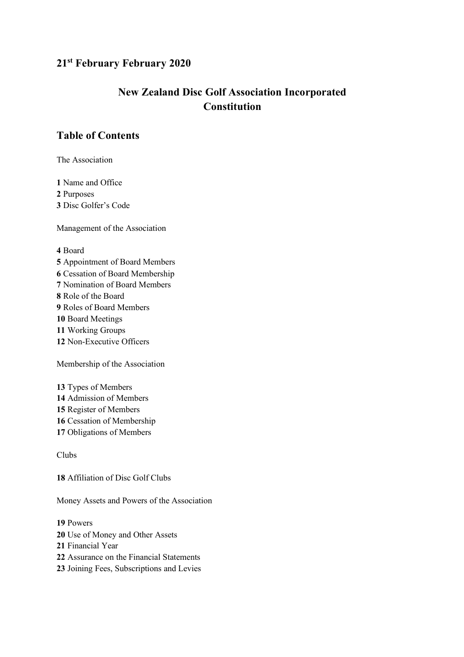## **21st February February 2020**

# **New Zealand Disc Golf Association Incorporated Constitution**

## **Table of Contents**

The Association

 Name and Office Purposes Disc Golfer's Code

Management of the Association

## Board

Appointment of Board Members

- Cessation of Board Membership
- Nomination of Board Members
- Role of the Board
- Roles of Board Members
- Board Meetings
- Working Groups
- Non-Executive Officers

Membership of the Association

Types of Members

- Admission of Members
- Register of Members
- Cessation of Membership
- Obligations of Members

## Clubs

Affiliation of Disc Golf Clubs

Money Assets and Powers of the Association

## Powers

- Use of Money and Other Assets
- Financial Year
- Assurance on the Financial Statements
- Joining Fees, Subscriptions and Levies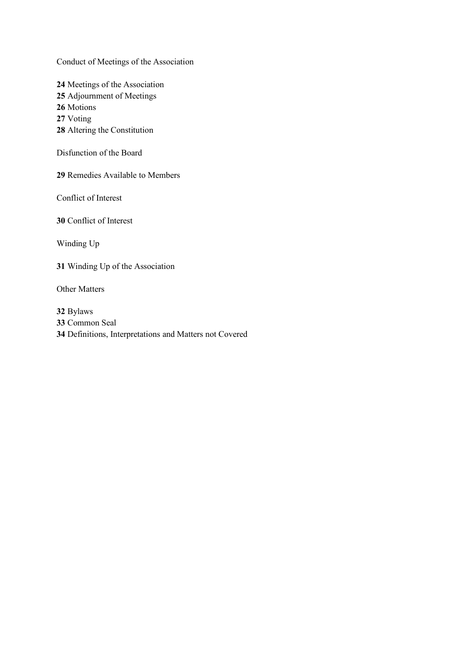Conduct of Meetings of the Association

Meetings of the Association Adjournment of Meetings Motions Voting Altering the Constitution

Disfunction of the Board

Remedies Available to Members

Conflict of Interest

Conflict of Interest

Winding Up

Winding Up of the Association

Other Matters

 Bylaws Common Seal Definitions, Interpretations and Matters not Covered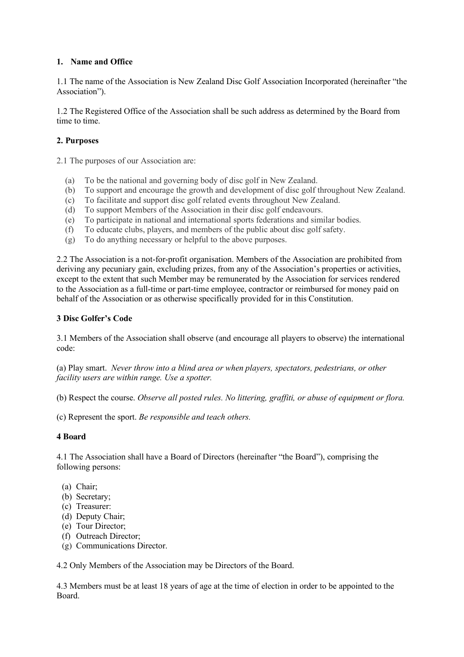## **1. Name and Office**

1.1 The name of the Association is New Zealand Disc Golf Association Incorporated (hereinafter "the Association").

1.2 The Registered Office of the Association shall be such address as determined by the Board from time to time.

## **2. Purposes**

2.1 The purposes of our Association are:

- (a) To be the national and governing body of disc golf in New Zealand.
- (b) To support and encourage the growth and development of disc golf throughout New Zealand.
- (c) To facilitate and support disc golf related events throughout New Zealand.
- (d) To support Members of the Association in their disc golf endeavours.
- (e) To participate in national and international sports federations and similar bodies.
- (f) To educate clubs, players, and members of the public about disc golf safety.
- (g) To do anything necessary or helpful to the above purposes.

2.2 The Association is a not-for-profit organisation. Members of the Association are prohibited from deriving any pecuniary gain, excluding prizes, from any of the Association's properties or activities, except to the extent that such Member may be remunerated by the Association for services rendered to the Association as a full-time or part-time employee, contractor or reimbursed for money paid on behalf of the Association or as otherwise specifically provided for in this Constitution.

## **3 Disc Golfer's Code**

3.1 Members of the Association shall observe (and encourage all players to observe) the international code:

(a) Play smart. *Never throw into a blind area or when players, spectators, pedestrians, or other facility users are within range. Use a spotter.*

(b) Respect the course. *Observe all posted rules. No littering, graffiti, or abuse of equipment or flora.*

(c) Represent the sport. *Be responsible and teach others.*

#### **4 Board**

4.1 The Association shall have a Board of Directors (hereinafter "the Board"), comprising the following persons:

- (a) Chair;
- (b) Secretary;
- (c) Treasurer:
- (d) Deputy Chair;
- (e) Tour Director;
- (f) Outreach Director;
- (g) Communications Director.

4.2 Only Members of the Association may be Directors of the Board.

4.3 Members must be at least 18 years of age at the time of election in order to be appointed to the Board.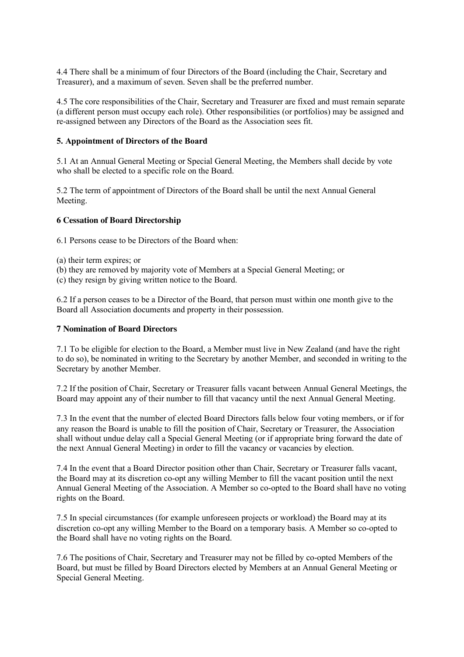4.4 There shall be a minimum of four Directors of the Board (including the Chair, Secretary and Treasurer), and a maximum of seven. Seven shall be the preferred number.

4.5 The core responsibilities of the Chair, Secretary and Treasurer are fixed and must remain separate (a different person must occupy each role). Other responsibilities (or portfolios) may be assigned and re-assigned between any Directors of the Board as the Association sees fit.

#### **5. Appointment of Directors of the Board**

5.1 At an Annual General Meeting or Special General Meeting, the Members shall decide by vote who shall be elected to a specific role on the Board.

5.2 The term of appointment of Directors of the Board shall be until the next Annual General Meeting.

#### **6 Cessation of Board Directorship**

6.1 Persons cease to be Directors of the Board when:

- (a) their term expires; or
- (b) they are removed by majority vote of Members at a Special General Meeting; or
- (c) they resign by giving written notice to the Board.

6.2 If a person ceases to be a Director of the Board, that person must within one month give to the Board all Association documents and property in their possession.

#### **7 Nomination of Board Directors**

7.1 To be eligible for election to the Board, a Member must live in New Zealand (and have the right to do so), be nominated in writing to the Secretary by another Member, and seconded in writing to the Secretary by another Member.

7.2 If the position of Chair, Secretary or Treasurer falls vacant between Annual General Meetings, the Board may appoint any of their number to fill that vacancy until the next Annual General Meeting.

7.3 In the event that the number of elected Board Directors falls below four voting members, or if for any reason the Board is unable to fill the position of Chair, Secretary or Treasurer, the Association shall without undue delay call a Special General Meeting (or if appropriate bring forward the date of the next Annual General Meeting) in order to fill the vacancy or vacancies by election.

7.4 In the event that a Board Director position other than Chair, Secretary or Treasurer falls vacant, the Board may at its discretion co-opt any willing Member to fill the vacant position until the next Annual General Meeting of the Association. A Member so co-opted to the Board shall have no voting rights on the Board.

7.5 In special circumstances (for example unforeseen projects or workload) the Board may at its discretion co-opt any willing Member to the Board on a temporary basis. A Member so co-opted to the Board shall have no voting rights on the Board.

7.6 The positions of Chair, Secretary and Treasurer may not be filled by co-opted Members of the Board, but must be filled by Board Directors elected by Members at an Annual General Meeting or Special General Meeting.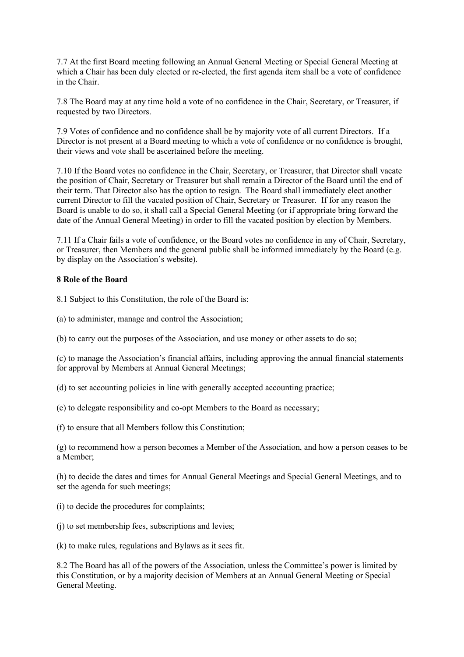7.7 At the first Board meeting following an Annual General Meeting or Special General Meeting at which a Chair has been duly elected or re-elected, the first agenda item shall be a vote of confidence in the Chair.

7.8 The Board may at any time hold a vote of no confidence in the Chair, Secretary, or Treasurer, if requested by two Directors.

7.9 Votes of confidence and no confidence shall be by majority vote of all current Directors. If a Director is not present at a Board meeting to which a vote of confidence or no confidence is brought, their views and vote shall be ascertained before the meeting.

7.10 If the Board votes no confidence in the Chair, Secretary, or Treasurer, that Director shall vacate the position of Chair, Secretary or Treasurer but shall remain a Director of the Board until the end of their term. That Director also has the option to resign. The Board shall immediately elect another current Director to fill the vacated position of Chair, Secretary or Treasurer. If for any reason the Board is unable to do so, it shall call a Special General Meeting (or if appropriate bring forward the date of the Annual General Meeting) in order to fill the vacated position by election by Members.

7.11 If a Chair fails a vote of confidence, or the Board votes no confidence in any of Chair, Secretary, or Treasurer, then Members and the general public shall be informed immediately by the Board (e.g. by display on the Association's website).

## **8 Role of the Board**

8.1 Subject to this Constitution, the role of the Board is:

(a) to administer, manage and control the Association;

(b) to carry out the purposes of the Association, and use money or other assets to do so;

(c) to manage the Association's financial affairs, including approving the annual financial statements for approval by Members at Annual General Meetings;

(d) to set accounting policies in line with generally accepted accounting practice;

(e) to delegate responsibility and co-opt Members to the Board as necessary;

(f) to ensure that all Members follow this Constitution;

(g) to recommend how a person becomes a Member of the Association, and how a person ceases to be a Member;

(h) to decide the dates and times for Annual General Meetings and Special General Meetings, and to set the agenda for such meetings;

- (i) to decide the procedures for complaints;
- (j) to set membership fees, subscriptions and levies;

(k) to make rules, regulations and Bylaws as it sees fit.

8.2 The Board has all of the powers of the Association, unless the Committee's power is limited by this Constitution, or by a majority decision of Members at an Annual General Meeting or Special General Meeting.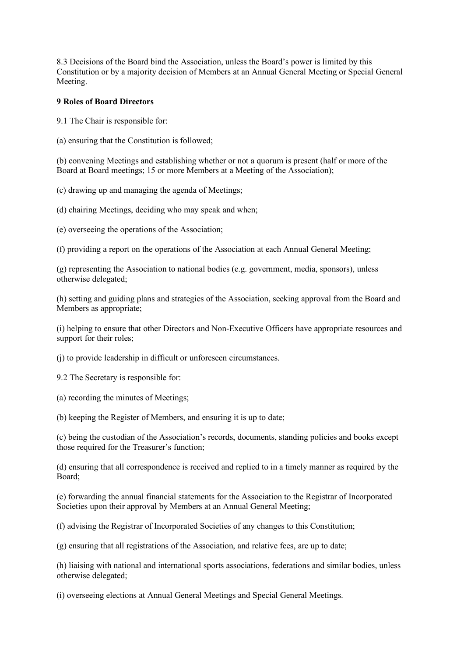8.3 Decisions of the Board bind the Association, unless the Board's power is limited by this Constitution or by a majority decision of Members at an Annual General Meeting or Special General Meeting.

#### **9 Roles of Board Directors**

9.1 The Chair is responsible for:

(a) ensuring that the Constitution is followed;

(b) convening Meetings and establishing whether or not a quorum is present (half or more of the Board at Board meetings; 15 or more Members at a Meeting of the Association);

(c) drawing up and managing the agenda of Meetings;

(d) chairing Meetings, deciding who may speak and when;

(e) overseeing the operations of the Association;

(f) providing a report on the operations of the Association at each Annual General Meeting;

(g) representing the Association to national bodies (e.g. government, media, sponsors), unless otherwise delegated;

(h) setting and guiding plans and strategies of the Association, seeking approval from the Board and Members as appropriate;

(i) helping to ensure that other Directors and Non-Executive Officers have appropriate resources and support for their roles;

(j) to provide leadership in difficult or unforeseen circumstances.

9.2 The Secretary is responsible for:

(a) recording the minutes of Meetings;

(b) keeping the Register of Members, and ensuring it is up to date;

(c) being the custodian of the Association's records, documents, standing policies and books except those required for the Treasurer's function;

(d) ensuring that all correspondence is received and replied to in a timely manner as required by the Board;

(e) forwarding the annual financial statements for the Association to the Registrar of Incorporated Societies upon their approval by Members at an Annual General Meeting;

(f) advising the Registrar of Incorporated Societies of any changes to this Constitution;

(g) ensuring that all registrations of the Association, and relative fees, are up to date;

(h) liaising with national and international sports associations, federations and similar bodies, unless otherwise delegated;

(i) overseeing elections at Annual General Meetings and Special General Meetings.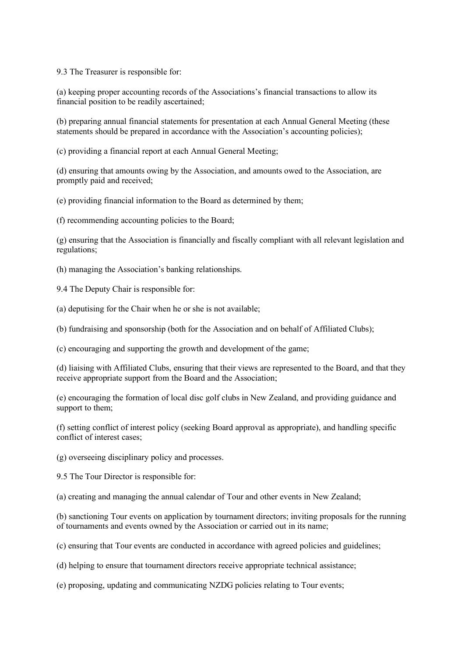9.3 The Treasurer is responsible for:

(a) keeping proper accounting records of the Associations's financial transactions to allow its financial position to be readily ascertained;

(b) preparing annual financial statements for presentation at each Annual General Meeting (these statements should be prepared in accordance with the Association's accounting policies);

(c) providing a financial report at each Annual General Meeting;

(d) ensuring that amounts owing by the Association, and amounts owed to the Association, are promptly paid and received;

(e) providing financial information to the Board as determined by them;

(f) recommending accounting policies to the Board;

(g) ensuring that the Association is financially and fiscally compliant with all relevant legislation and regulations;

(h) managing the Association's banking relationships.

- 9.4 The Deputy Chair is responsible for:
- (a) deputising for the Chair when he or she is not available;

(b) fundraising and sponsorship (both for the Association and on behalf of Affiliated Clubs);

(c) encouraging and supporting the growth and development of the game;

(d) liaising with Affiliated Clubs, ensuring that their views are represented to the Board, and that they receive appropriate support from the Board and the Association;

(e) encouraging the formation of local disc golf clubs in New Zealand, and providing guidance and support to them:

(f) setting conflict of interest policy (seeking Board approval as appropriate), and handling specific conflict of interest cases;

(g) overseeing disciplinary policy and processes.

9.5 The Tour Director is responsible for:

(a) creating and managing the annual calendar of Tour and other events in New Zealand;

(b) sanctioning Tour events on application by tournament directors; inviting proposals for the running of tournaments and events owned by the Association or carried out in its name;

(c) ensuring that Tour events are conducted in accordance with agreed policies and guidelines;

(d) helping to ensure that tournament directors receive appropriate technical assistance;

(e) proposing, updating and communicating NZDG policies relating to Tour events;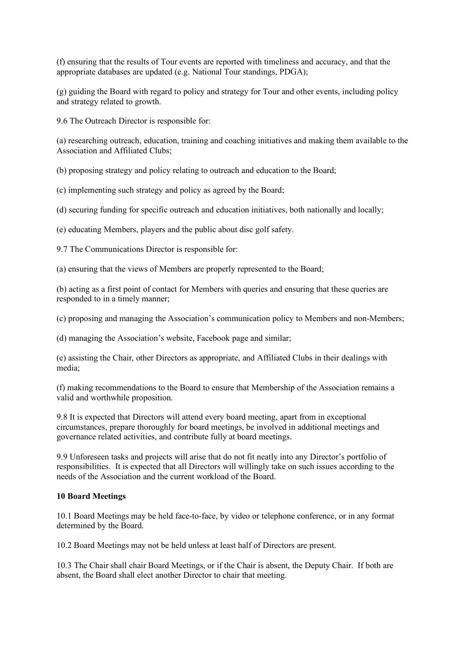(f) ensuring that the results of Tour events are reported with timeliness and accuracy, and that the appropriate databases are updated (e.g. National Tour standings, PDGA);

(g) guiding the Board with regard to policy and strategy for Tour and other events, including policy and strategy related to growth.

9.6 The Outreach Director is responsible for:

(a) researching outreach, education, training and coaching initiatives and making them available to the Association and Affiliated Clubs;

(b) proposing strategy and policy relating to outreach and education to the Board;

(c) implementing such strategy and policy as agreed by the Board;

(d) securing funding for specific outreach and education initiatives, both nationally and locally;

(e) educating Members, players and the public about disc golf safety.

9.7 The Communications Director is responsible for:

(a) ensuring that the views of Members are properly represented to the Board;

(b) acting as a first point of contact for Members with queries and ensuring that these queries are responded to in a timely manner;

(c) proposing and managing the Association's communication policy to Members and non-Members;

(d) managing the Association's website, Facebook page and similar;

(e) assisting the Chair, other Directors as appropriate, and Affiliated Clubs in their dealings with media;

(f) making recommendations to the Board to ensure that Membership of the Association remains a valid and worthwhile proposition.

9.8 It is expected that Directors will attend every board meeting, apart from in exceptional circumstances, prepare thoroughly for board meetings, be involved in additional meetings and governance related activities, and contribute fully at board meetings.

9.9 Unforeseen tasks and projects will arise that do not fit neatly into any Director's portfolio of responsibilities. It is expected that all Directors will willingly take on such issues according to the needs of the Association and the current workload of the Board.

#### **10 Board Meetings**

10.1 Board Meetings may be held face-to-face, by video or telephone conference, or in any format determined by the Board.

10.2 Board Meetings may not be held unless at least half of Directors are present.

10.3 The Chair shall chair Board Meetings, or if the Chair is absent, the Deputy Chair. If both are absent, the Board shall elect another Director to chair that meeting.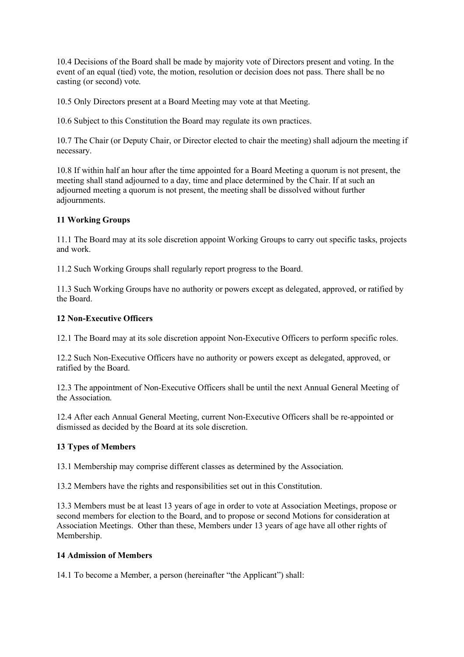10.4 Decisions of the Board shall be made by majority vote of Directors present and voting. In the event of an equal (tied) vote, the motion, resolution or decision does not pass. There shall be no casting (or second) vote.

10.5 Only Directors present at a Board Meeting may vote at that Meeting.

10.6 Subject to this Constitution the Board may regulate its own practices.

10.7 The Chair (or Deputy Chair, or Director elected to chair the meeting) shall adjourn the meeting if necessary.

10.8 If within half an hour after the time appointed for a Board Meeting a quorum is not present, the meeting shall stand adjourned to a day, time and place determined by the Chair. If at such an adjourned meeting a quorum is not present, the meeting shall be dissolved without further adjournments.

## **11 Working Groups**

11.1 The Board may at its sole discretion appoint Working Groups to carry out specific tasks, projects and work.

11.2 Such Working Groups shall regularly report progress to the Board.

11.3 Such Working Groups have no authority or powers except as delegated, approved, or ratified by the Board.

## **12 Non-Executive Officers**

12.1 The Board may at its sole discretion appoint Non-Executive Officers to perform specific roles.

12.2 Such Non-Executive Officers have no authority or powers except as delegated, approved, or ratified by the Board.

12.3 The appointment of Non-Executive Officers shall be until the next Annual General Meeting of the Association.

12.4 After each Annual General Meeting, current Non-Executive Officers shall be re-appointed or dismissed as decided by the Board at its sole discretion.

## **13 Types of Members**

13.1 Membership may comprise different classes as determined by the Association.

13.2 Members have the rights and responsibilities set out in this Constitution.

13.3 Members must be at least 13 years of age in order to vote at Association Meetings, propose or second members for election to the Board, and to propose or second Motions for consideration at Association Meetings. Other than these, Members under 13 years of age have all other rights of Membership.

#### **14 Admission of Members**

14.1 To become a Member, a person (hereinafter "the Applicant") shall: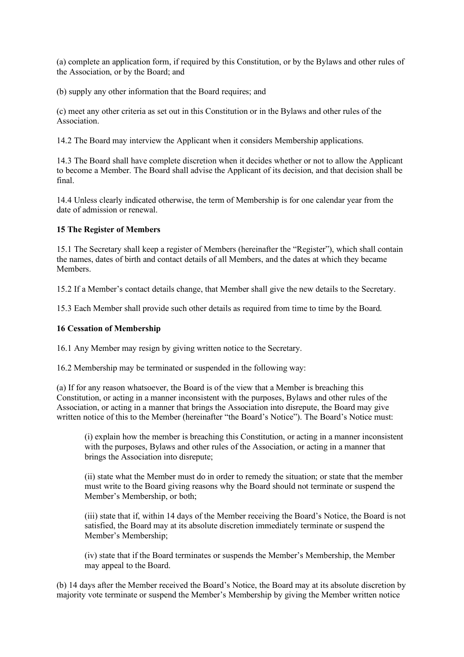(a) complete an application form, if required by this Constitution, or by the Bylaws and other rules of the Association, or by the Board; and

(b) supply any other information that the Board requires; and

(c) meet any other criteria as set out in this Constitution or in the Bylaws and other rules of the **Association** 

14.2 The Board may interview the Applicant when it considers Membership applications.

14.3 The Board shall have complete discretion when it decides whether or not to allow the Applicant to become a Member. The Board shall advise the Applicant of its decision, and that decision shall be final.

14.4 Unless clearly indicated otherwise, the term of Membership is for one calendar year from the date of admission or renewal.

#### **15 The Register of Members**

15.1 The Secretary shall keep a register of Members (hereinafter the "Register"), which shall contain the names, dates of birth and contact details of all Members, and the dates at which they became Members.

15.2 If a Member's contact details change, that Member shall give the new details to the Secretary.

15.3 Each Member shall provide such other details as required from time to time by the Board.

#### **16 Cessation of Membership**

16.1 Any Member may resign by giving written notice to the Secretary.

16.2 Membership may be terminated or suspended in the following way:

(a) If for any reason whatsoever, the Board is of the view that a Member is breaching this Constitution, or acting in a manner inconsistent with the purposes, Bylaws and other rules of the Association, or acting in a manner that brings the Association into disrepute, the Board may give written notice of this to the Member (hereinafter "the Board's Notice"). The Board's Notice must:

(i) explain how the member is breaching this Constitution, or acting in a manner inconsistent with the purposes, Bylaws and other rules of the Association, or acting in a manner that brings the Association into disrepute;

(ii) state what the Member must do in order to remedy the situation; or state that the member must write to the Board giving reasons why the Board should not terminate or suspend the Member's Membership, or both;

(iii) state that if, within 14 days of the Member receiving the Board's Notice, the Board is not satisfied, the Board may at its absolute discretion immediately terminate or suspend the Member's Membership;

(iv) state that if the Board terminates or suspends the Member's Membership, the Member may appeal to the Board.

(b) 14 days after the Member received the Board's Notice, the Board may at its absolute discretion by majority vote terminate or suspend the Member's Membership by giving the Member written notice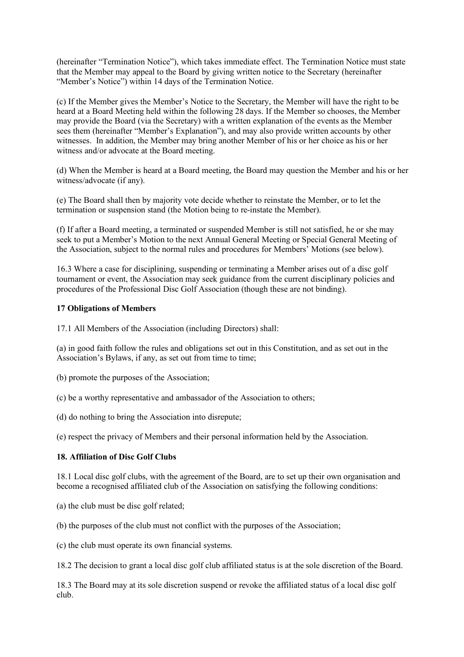(hereinafter "Termination Notice"), which takes immediate effect. The Termination Notice must state that the Member may appeal to the Board by giving written notice to the Secretary (hereinafter "Member's Notice") within 14 days of the Termination Notice.

(c) If the Member gives the Member's Notice to the Secretary, the Member will have the right to be heard at a Board Meeting held within the following 28 days. If the Member so chooses, the Member may provide the Board (via the Secretary) with a written explanation of the events as the Member sees them (hereinafter "Member's Explanation"), and may also provide written accounts by other witnesses. In addition, the Member may bring another Member of his or her choice as his or her witness and/or advocate at the Board meeting.

(d) When the Member is heard at a Board meeting, the Board may question the Member and his or her witness/advocate (if any).

(e) The Board shall then by majority vote decide whether to reinstate the Member, or to let the termination or suspension stand (the Motion being to re-instate the Member).

(f) If after a Board meeting, a terminated or suspended Member is still not satisfied, he or she may seek to put a Member's Motion to the next Annual General Meeting or Special General Meeting of the Association, subject to the normal rules and procedures for Members' Motions (see below).

16.3 Where a case for disciplining, suspending or terminating a Member arises out of a disc golf tournament or event, the Association may seek guidance from the current disciplinary policies and procedures of the Professional Disc Golf Association (though these are not binding).

#### **17 Obligations of Members**

17.1 All Members of the Association (including Directors) shall:

(a) in good faith follow the rules and obligations set out in this Constitution, and as set out in the Association's Bylaws, if any, as set out from time to time;

(b) promote the purposes of the Association;

(c) be a worthy representative and ambassador of the Association to others;

(d) do nothing to bring the Association into disrepute;

(e) respect the privacy of Members and their personal information held by the Association.

## **18. Affiliation of Disc Golf Clubs**

18.1 Local disc golf clubs, with the agreement of the Board, are to set up their own organisation and become a recognised affiliated club of the Association on satisfying the following conditions:

(a) the club must be disc golf related;

(b) the purposes of the club must not conflict with the purposes of the Association;

(c) the club must operate its own financial systems.

18.2 The decision to grant a local disc golf club affiliated status is at the sole discretion of the Board.

18.3 The Board may at its sole discretion suspend or revoke the affiliated status of a local disc golf club.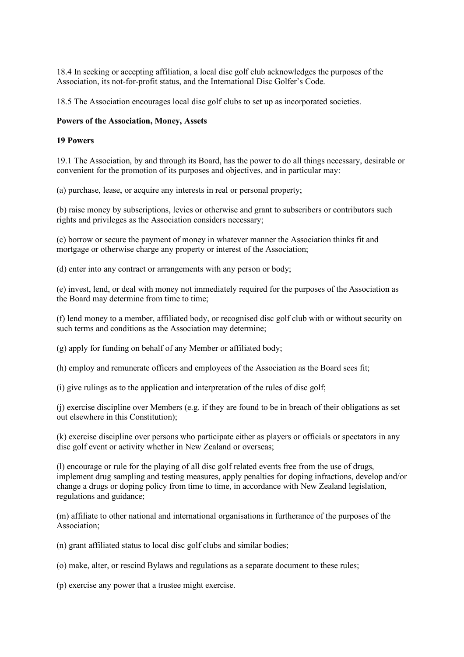18.4 In seeking or accepting affiliation, a local disc golf club acknowledges the purposes of the Association, its not-for-profit status, and the International Disc Golfer's Code.

18.5 The Association encourages local disc golf clubs to set up as incorporated societies.

## **Powers of the Association, Money, Assets**

#### **19 Powers**

19.1 The Association, by and through its Board, has the power to do all things necessary, desirable or convenient for the promotion of its purposes and objectives, and in particular may:

(a) purchase, lease, or acquire any interests in real or personal property;

(b) raise money by subscriptions, levies or otherwise and grant to subscribers or contributors such rights and privileges as the Association considers necessary;

(c) borrow or secure the payment of money in whatever manner the Association thinks fit and mortgage or otherwise charge any property or interest of the Association;

(d) enter into any contract or arrangements with any person or body;

(e) invest, lend, or deal with money not immediately required for the purposes of the Association as the Board may determine from time to time;

(f) lend money to a member, affiliated body, or recognised disc golf club with or without security on such terms and conditions as the Association may determine;

(g) apply for funding on behalf of any Member or affiliated body;

(h) employ and remunerate officers and employees of the Association as the Board sees fit;

(i) give rulings as to the application and interpretation of the rules of disc golf;

(j) exercise discipline over Members (e.g. if they are found to be in breach of their obligations as set out elsewhere in this Constitution);

(k) exercise discipline over persons who participate either as players or officials or spectators in any disc golf event or activity whether in New Zealand or overseas;

(l) encourage or rule for the playing of all disc golf related events free from the use of drugs, implement drug sampling and testing measures, apply penalties for doping infractions, develop and/or change a drugs or doping policy from time to time, in accordance with New Zealand legislation, regulations and guidance;

(m) affiliate to other national and international organisations in furtherance of the purposes of the Association;

(n) grant affiliated status to local disc golf clubs and similar bodies;

(o) make, alter, or rescind Bylaws and regulations as a separate document to these rules;

(p) exercise any power that a trustee might exercise.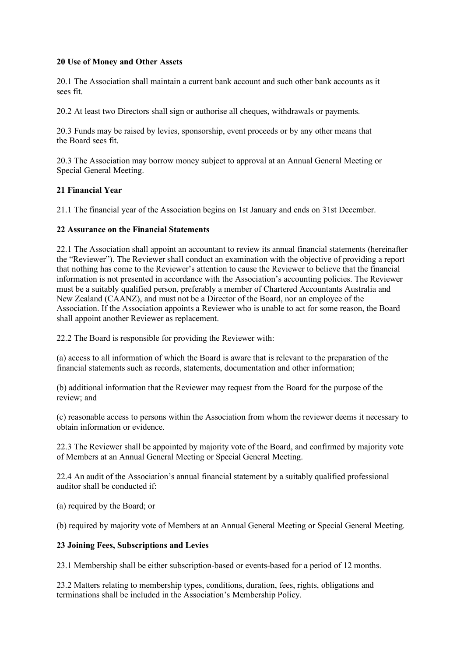## **20 Use of Money and Other Assets**

20.1 The Association shall maintain a current bank account and such other bank accounts as it sees fit.

20.2 At least two Directors shall sign or authorise all cheques, withdrawals or payments.

20.3 Funds may be raised by levies, sponsorship, event proceeds or by any other means that the Board sees fit.

20.3 The Association may borrow money subject to approval at an Annual General Meeting or Special General Meeting.

## **21 Financial Year**

21.1 The financial year of the Association begins on 1st January and ends on 31st December.

## **22 Assurance on the Financial Statements**

22.1 The Association shall appoint an accountant to review its annual financial statements (hereinafter the "Reviewer"). The Reviewer shall conduct an examination with the objective of providing a report that nothing has come to the Reviewer's attention to cause the Reviewer to believe that the financial information is not presented in accordance with the Association's accounting policies. The Reviewer must be a suitably qualified person, preferably a member of Chartered Accountants Australia and New Zealand (CAANZ), and must not be a Director of the Board, nor an employee of the Association. If the Association appoints a Reviewer who is unable to act for some reason, the Board shall appoint another Reviewer as replacement.

22.2 The Board is responsible for providing the Reviewer with:

(a) access to all information of which the Board is aware that is relevant to the preparation of the financial statements such as records, statements, documentation and other information;

(b) additional information that the Reviewer may request from the Board for the purpose of the review; and

(c) reasonable access to persons within the Association from whom the reviewer deems it necessary to obtain information or evidence.

22.3 The Reviewer shall be appointed by majority vote of the Board, and confirmed by majority vote of Members at an Annual General Meeting or Special General Meeting.

22.4 An audit of the Association's annual financial statement by a suitably qualified professional auditor shall be conducted if:

(a) required by the Board; or

(b) required by majority vote of Members at an Annual General Meeting or Special General Meeting.

#### **23 Joining Fees, Subscriptions and Levies**

23.1 Membership shall be either subscription-based or events-based for a period of 12 months.

23.2 Matters relating to membership types, conditions, duration, fees, rights, obligations and terminations shall be included in the Association's Membership Policy.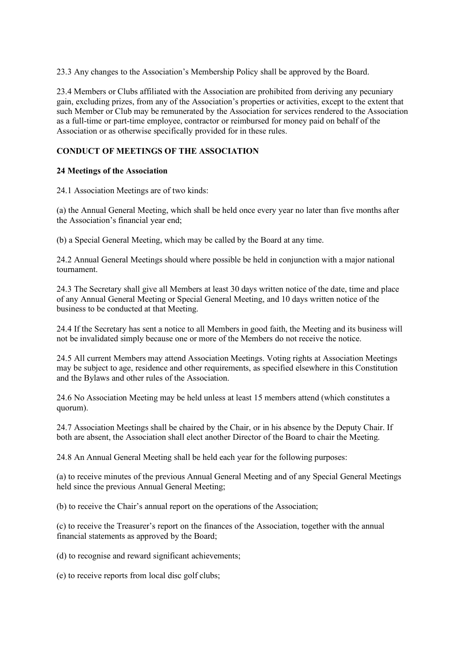23.3 Any changes to the Association's Membership Policy shall be approved by the Board.

23.4 Members or Clubs affiliated with the Association are prohibited from deriving any pecuniary gain, excluding prizes, from any of the Association's properties or activities, except to the extent that such Member or Club may be remunerated by the Association for services rendered to the Association as a full-time or part-time employee, contractor or reimbursed for money paid on behalf of the Association or as otherwise specifically provided for in these rules.

## **CONDUCT OF MEETINGS OF THE ASSOCIATION**

## **24 Meetings of the Association**

24.1 Association Meetings are of two kinds:

(a) the Annual General Meeting, which shall be held once every year no later than five months after the Association's financial year end;

(b) a Special General Meeting, which may be called by the Board at any time.

24.2 Annual General Meetings should where possible be held in conjunction with a major national tournament.

24.3 The Secretary shall give all Members at least 30 days written notice of the date, time and place of any Annual General Meeting or Special General Meeting, and 10 days written notice of the business to be conducted at that Meeting.

24.4 If the Secretary has sent a notice to all Members in good faith, the Meeting and its business will not be invalidated simply because one or more of the Members do not receive the notice.

24.5 All current Members may attend Association Meetings. Voting rights at Association Meetings may be subject to age, residence and other requirements, as specified elsewhere in this Constitution and the Bylaws and other rules of the Association.

24.6 No Association Meeting may be held unless at least 15 members attend (which constitutes a quorum).

24.7 Association Meetings shall be chaired by the Chair, or in his absence by the Deputy Chair. If both are absent, the Association shall elect another Director of the Board to chair the Meeting.

24.8 An Annual General Meeting shall be held each year for the following purposes:

(a) to receive minutes of the previous Annual General Meeting and of any Special General Meetings held since the previous Annual General Meeting;

(b) to receive the Chair's annual report on the operations of the Association;

(c) to receive the Treasurer's report on the finances of the Association, together with the annual financial statements as approved by the Board;

(d) to recognise and reward significant achievements;

(e) to receive reports from local disc golf clubs;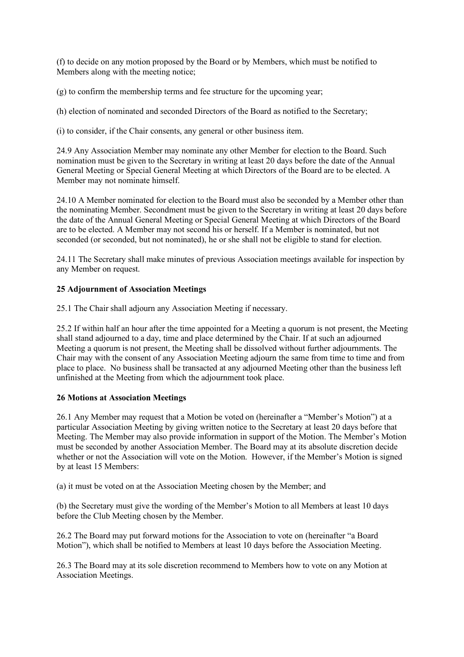(f) to decide on any motion proposed by the Board or by Members, which must be notified to Members along with the meeting notice;

(g) to confirm the membership terms and fee structure for the upcoming year;

(h) election of nominated and seconded Directors of the Board as notified to the Secretary;

(i) to consider, if the Chair consents, any general or other business item.

24.9 Any Association Member may nominate any other Member for election to the Board. Such nomination must be given to the Secretary in writing at least 20 days before the date of the Annual General Meeting or Special General Meeting at which Directors of the Board are to be elected. A Member may not nominate himself.

24.10 A Member nominated for election to the Board must also be seconded by a Member other than the nominating Member. Secondment must be given to the Secretary in writing at least 20 days before the date of the Annual General Meeting or Special General Meeting at which Directors of the Board are to be elected. A Member may not second his or herself. If a Member is nominated, but not seconded (or seconded, but not nominated), he or she shall not be eligible to stand for election.

24.11 The Secretary shall make minutes of previous Association meetings available for inspection by any Member on request.

## **25 Adjournment of Association Meetings**

25.1 The Chair shall adjourn any Association Meeting if necessary.

25.2 If within half an hour after the time appointed for a Meeting a quorum is not present, the Meeting shall stand adjourned to a day, time and place determined by the Chair. If at such an adjourned Meeting a quorum is not present, the Meeting shall be dissolved without further adjournments. The Chair may with the consent of any Association Meeting adjourn the same from time to time and from place to place. No business shall be transacted at any adjourned Meeting other than the business left unfinished at the Meeting from which the adjournment took place.

## **26 Motions at Association Meetings**

26.1 Any Member may request that a Motion be voted on (hereinafter a "Member's Motion") at a particular Association Meeting by giving written notice to the Secretary at least 20 days before that Meeting. The Member may also provide information in support of the Motion. The Member's Motion must be seconded by another Association Member. The Board may at its absolute discretion decide whether or not the Association will vote on the Motion. However, if the Member's Motion is signed by at least 15 Members:

(a) it must be voted on at the Association Meeting chosen by the Member; and

(b) the Secretary must give the wording of the Member's Motion to all Members at least 10 days before the Club Meeting chosen by the Member.

26.2 The Board may put forward motions for the Association to vote on (hereinafter "a Board Motion"), which shall be notified to Members at least 10 days before the Association Meeting.

26.3 The Board may at its sole discretion recommend to Members how to vote on any Motion at Association Meetings.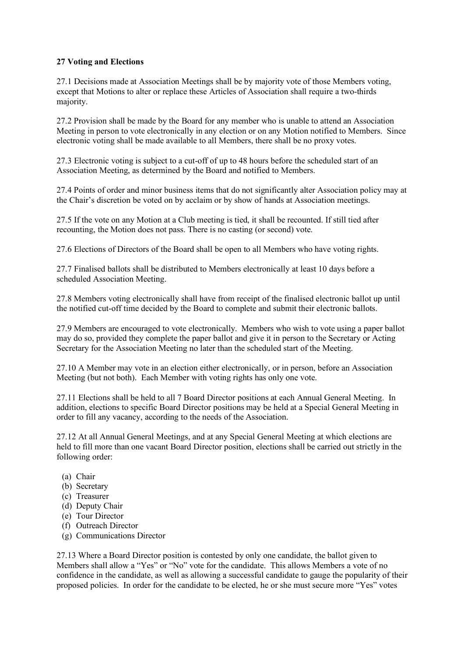## **27 Voting and Elections**

27.1 Decisions made at Association Meetings shall be by majority vote of those Members voting, except that Motions to alter or replace these Articles of Association shall require a two-thirds majority.

27.2 Provision shall be made by the Board for any member who is unable to attend an Association Meeting in person to vote electronically in any election or on any Motion notified to Members. Since electronic voting shall be made available to all Members, there shall be no proxy votes.

27.3 Electronic voting is subject to a cut-off of up to 48 hours before the scheduled start of an Association Meeting, as determined by the Board and notified to Members.

27.4 Points of order and minor business items that do not significantly alter Association policy may at the Chair's discretion be voted on by acclaim or by show of hands at Association meetings.

27.5 If the vote on any Motion at a Club meeting is tied, it shall be recounted. If still tied after recounting, the Motion does not pass. There is no casting (or second) vote.

27.6 Elections of Directors of the Board shall be open to all Members who have voting rights.

27.7 Finalised ballots shall be distributed to Members electronically at least 10 days before a scheduled Association Meeting.

27.8 Members voting electronically shall have from receipt of the finalised electronic ballot up until the notified cut-off time decided by the Board to complete and submit their electronic ballots.

27.9 Members are encouraged to vote electronically. Members who wish to vote using a paper ballot may do so, provided they complete the paper ballot and give it in person to the Secretary or Acting Secretary for the Association Meeting no later than the scheduled start of the Meeting.

27.10 A Member may vote in an election either electronically, or in person, before an Association Meeting (but not both). Each Member with voting rights has only one vote.

27.11 Elections shall be held to all 7 Board Director positions at each Annual General Meeting. In addition, elections to specific Board Director positions may be held at a Special General Meeting in order to fill any vacancy, according to the needs of the Association.

27.12 At all Annual General Meetings, and at any Special General Meeting at which elections are held to fill more than one vacant Board Director position, elections shall be carried out strictly in the following order:

- (a) Chair
- (b) Secretary
- (c) Treasurer
- (d) Deputy Chair
- (e) Tour Director
- (f) Outreach Director
- (g) Communications Director

27.13 Where a Board Director position is contested by only one candidate, the ballot given to Members shall allow a "Yes" or "No" vote for the candidate. This allows Members a vote of no confidence in the candidate, as well as allowing a successful candidate to gauge the popularity of their proposed policies. In order for the candidate to be elected, he or she must secure more "Yes" votes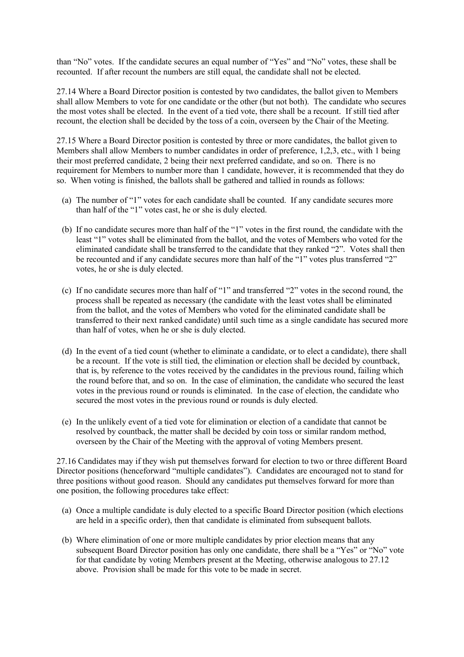than "No" votes. If the candidate secures an equal number of "Yes" and "No" votes, these shall be recounted. If after recount the numbers are still equal, the candidate shall not be elected.

27.14 Where a Board Director position is contested by two candidates, the ballot given to Members shall allow Members to vote for one candidate or the other (but not both). The candidate who secures the most votes shall be elected. In the event of a tied vote, there shall be a recount. If still tied after recount, the election shall be decided by the toss of a coin, overseen by the Chair of the Meeting.

27.15 Where a Board Director position is contested by three or more candidates, the ballot given to Members shall allow Members to number candidates in order of preference, 1,2,3, etc., with 1 being their most preferred candidate, 2 being their next preferred candidate, and so on. There is no requirement for Members to number more than 1 candidate, however, it is recommended that they do so. When voting is finished, the ballots shall be gathered and tallied in rounds as follows:

- (a) The number of "1" votes for each candidate shall be counted. If any candidate secures more than half of the "1" votes cast, he or she is duly elected.
- (b) If no candidate secures more than half of the "1" votes in the first round, the candidate with the least "1" votes shall be eliminated from the ballot, and the votes of Members who voted for the eliminated candidate shall be transferred to the candidate that they ranked "2". Votes shall then be recounted and if any candidate secures more than half of the "1" votes plus transferred "2" votes, he or she is duly elected.
- (c) If no candidate secures more than half of "1" and transferred "2" votes in the second round, the process shall be repeated as necessary (the candidate with the least votes shall be eliminated from the ballot, and the votes of Members who voted for the eliminated candidate shall be transferred to their next ranked candidate) until such time as a single candidate has secured more than half of votes, when he or she is duly elected.
- (d) In the event of a tied count (whether to eliminate a candidate, or to elect a candidate), there shall be a recount. If the vote is still tied, the elimination or election shall be decided by countback, that is, by reference to the votes received by the candidates in the previous round, failing which the round before that, and so on. In the case of elimination, the candidate who secured the least votes in the previous round or rounds is eliminated. In the case of election, the candidate who secured the most votes in the previous round or rounds is duly elected.
- (e) In the unlikely event of a tied vote for elimination or election of a candidate that cannot be resolved by countback, the matter shall be decided by coin toss or similar random method, overseen by the Chair of the Meeting with the approval of voting Members present.

27.16 Candidates may if they wish put themselves forward for election to two or three different Board Director positions (henceforward "multiple candidates"). Candidates are encouraged not to stand for three positions without good reason. Should any candidates put themselves forward for more than one position, the following procedures take effect:

- (a) Once a multiple candidate is duly elected to a specific Board Director position (which elections are held in a specific order), then that candidate is eliminated from subsequent ballots.
- (b) Where elimination of one or more multiple candidates by prior election means that any subsequent Board Director position has only one candidate, there shall be a "Yes" or "No" vote for that candidate by voting Members present at the Meeting, otherwise analogous to 27.12 above. Provision shall be made for this vote to be made in secret.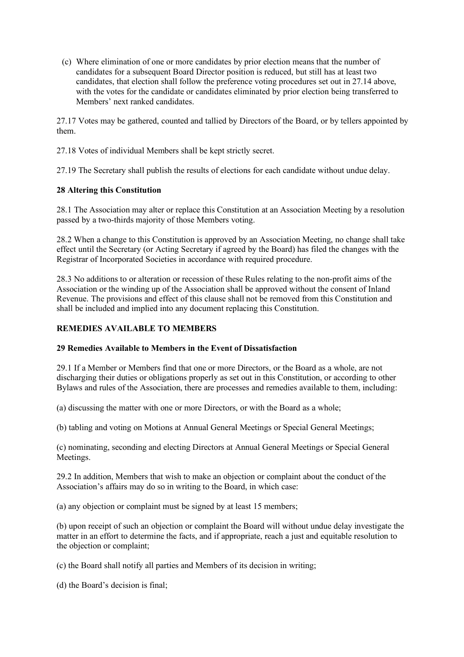(c) Where elimination of one or more candidates by prior election means that the number of candidates for a subsequent Board Director position is reduced, but still has at least two candidates, that election shall follow the preference voting procedures set out in 27.14 above, with the votes for the candidate or candidates eliminated by prior election being transferred to Members' next ranked candidates.

27.17 Votes may be gathered, counted and tallied by Directors of the Board, or by tellers appointed by them.

27.18 Votes of individual Members shall be kept strictly secret.

27.19 The Secretary shall publish the results of elections for each candidate without undue delay.

## **28 Altering this Constitution**

28.1 The Association may alter or replace this Constitution at an Association Meeting by a resolution passed by a two-thirds majority of those Members voting.

28.2 When a change to this Constitution is approved by an Association Meeting, no change shall take effect until the Secretary (or Acting Secretary if agreed by the Board) has filed the changes with the Registrar of Incorporated Societies in accordance with required procedure.

28.3 No additions to or alteration or recession of these Rules relating to the non-profit aims of the Association or the winding up of the Association shall be approved without the consent of Inland Revenue. The provisions and effect of this clause shall not be removed from this Constitution and shall be included and implied into any document replacing this Constitution.

## **REMEDIES AVAILABLE TO MEMBERS**

#### **29 Remedies Available to Members in the Event of Dissatisfaction**

29.1 If a Member or Members find that one or more Directors, or the Board as a whole, are not discharging their duties or obligations properly as set out in this Constitution, or according to other Bylaws and rules of the Association, there are processes and remedies available to them, including:

(a) discussing the matter with one or more Directors, or with the Board as a whole;

(b) tabling and voting on Motions at Annual General Meetings or Special General Meetings;

(c) nominating, seconding and electing Directors at Annual General Meetings or Special General Meetings.

29.2 In addition, Members that wish to make an objection or complaint about the conduct of the Association's affairs may do so in writing to the Board, in which case:

(a) any objection or complaint must be signed by at least 15 members;

(b) upon receipt of such an objection or complaint the Board will without undue delay investigate the matter in an effort to determine the facts, and if appropriate, reach a just and equitable resolution to the objection or complaint;

(c) the Board shall notify all parties and Members of its decision in writing;

(d) the Board's decision is final;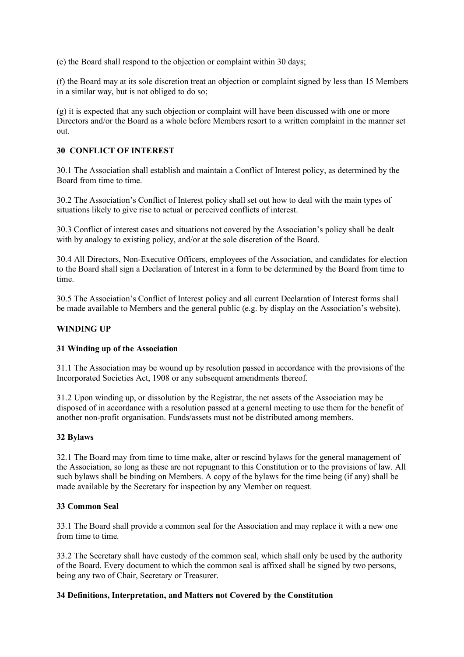(e) the Board shall respond to the objection or complaint within 30 days;

(f) the Board may at its sole discretion treat an objection or complaint signed by less than 15 Members in a similar way, but is not obliged to do so;

(g) it is expected that any such objection or complaint will have been discussed with one or more Directors and/or the Board as a whole before Members resort to a written complaint in the manner set out.

## **30 CONFLICT OF INTEREST**

30.1 The Association shall establish and maintain a Conflict of Interest policy, as determined by the Board from time to time.

30.2 The Association's Conflict of Interest policy shall set out how to deal with the main types of situations likely to give rise to actual or perceived conflicts of interest.

30.3 Conflict of interest cases and situations not covered by the Association's policy shall be dealt with by analogy to existing policy, and/or at the sole discretion of the Board.

30.4 All Directors, Non-Executive Officers, employees of the Association, and candidates for election to the Board shall sign a Declaration of Interest in a form to be determined by the Board from time to time.

30.5 The Association's Conflict of Interest policy and all current Declaration of Interest forms shall be made available to Members and the general public (e.g. by display on the Association's website).

#### **WINDING UP**

#### **31 Winding up of the Association**

31.1 The Association may be wound up by resolution passed in accordance with the provisions of the Incorporated Societies Act, 1908 or any subsequent amendments thereof.

31.2 Upon winding up, or dissolution by the Registrar, the net assets of the Association may be disposed of in accordance with a resolution passed at a general meeting to use them for the benefit of another non-profit organisation. Funds/assets must not be distributed among members.

#### **32 Bylaws**

32.1 The Board may from time to time make, alter or rescind bylaws for the general management of the Association, so long as these are not repugnant to this Constitution or to the provisions of law. All such bylaws shall be binding on Members. A copy of the bylaws for the time being (if any) shall be made available by the Secretary for inspection by any Member on request.

#### **33 Common Seal**

33.1 The Board shall provide a common seal for the Association and may replace it with a new one from time to time.

33.2 The Secretary shall have custody of the common seal, which shall only be used by the authority of the Board. Every document to which the common seal is affixed shall be signed by two persons, being any two of Chair, Secretary or Treasurer.

#### **34 Definitions, Interpretation, and Matters not Covered by the Constitution**